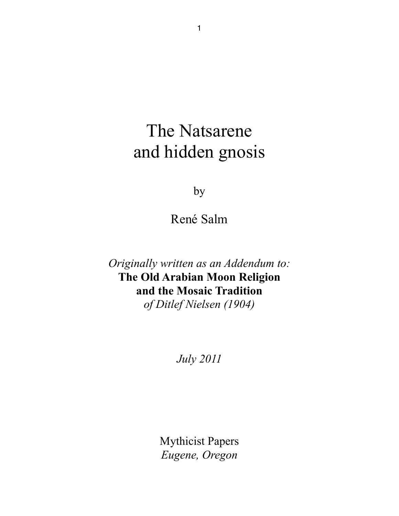# The Natsarene and hidden gnosis

by

René Salm

*Originally written as an Addendum to:* **The Old Arabian Moon Religion and the Mosaic Tradition**  *of Ditlef Nielsen (1904)*

*July 2011*

Mythicist Papers *Eugene, Oregon*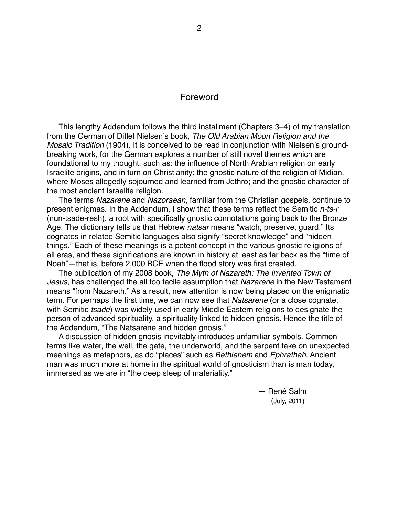#### Foreword

This lengthy Addendum follows the third installment (Chapters 3–4) of my translation from the German of Ditlef Nielsen's book, *The Old Arabian Moon Religion and the Mosaic Tradition* (1904). It is conceived to be read in conjunction with Nielsen's groundbreaking work, for the German explores a number of still novel themes which are foundational to my thought, such as: the influence of North Arabian religion on early Israelite origins, and in turn on Christianity; the gnostic nature of the religion of Midian, where Moses allegedly sojourned and learned from Jethro; and the gnostic character of the most ancient Israelite religion.

The terms *Nazarene* and *Nazoraean*, familiar from the Christian gospels, continue to present enigmas. In the Addendum, I show that these terms reflect the Semitic *n-ts-r*  (nun-tsade-resh), a root with specifically gnostic connotations going back to the Bronze Age. The dictionary tells us that Hebrew *natsar* means "watch, preserve, guard." Its cognates in related Semitic languages also signify "secret knowledge" and "hidden things." Each of these meanings is a potent concept in the various gnostic religions of all eras, and these significations are known in history at least as far back as the "time of Noah"—that is, before 2,000 BCE when the flood story was first created.

The publication of my 2008 book, *The Myth of Nazareth: The Invented Town of Jesus*, has challenged the all too facile assumption that *Nazarene* in the New Testament means "from Nazareth." As a result, new attention is now being placed on the enigmatic term. For perhaps the first time, we can now see that *Natsarene* (or a close cognate, with Semitic *tsade*) was widely used in early Middle Eastern religions to designate the person of advanced spirituality, a spirituality linked to hidden gnosis. Hence the title of the Addendum, "The Natsarene and hidden gnosis."

A discussion of hidden gnosis inevitably introduces unfamiliar symbols. Common terms like water, the well, the gate, the underworld, and the serpent take on unexpected meanings as metaphors, as do "places" such as *Bethlehem* and *Ephrathah*. Ancient man was much more at home in the spiritual world of gnosticism than is man today, immersed as we are in "the deep sleep of materiality."

> - René Salm (July, 2011)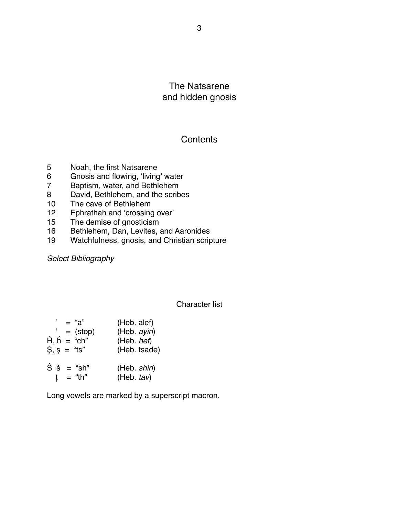The Natsarene and hidden gnosis

## **Contents**

- 5 Noah, the first Natsarene
- 6 Gnosis and flowing, 'living' water<br>7 Baptism, water, and Bethlehem
- Baptism, water, and Bethlehem
- 8 David, Bethlehem, and the scribes
- 10 The cave of Bethlehem<br>12 Ephrathah and 'crossing
- Ephrathah and 'crossing over'
- 15 The demise of gnosticism
- 16 Bethlehem, Dan, Levites, and Aaronides
- 19 Watchfulness, gnosis, and Christian scripture

*Select Bibliography*

#### Character list

| $=$ "a"                                       | (Heb. alef)                  |
|-----------------------------------------------|------------------------------|
| $=$ (stop)                                    | (Heb. ayin)                  |
| $\hat{H}$ , $\hat{h}$ = "ch"                  | (Heb. het)                   |
| $\mathsf{S}, \, \mathsf{s} = \mathsf{``ts''}$ | (Heb. tsade)                 |
| $\hat{S}$ $\check{s}$ = "sh"<br>= "th"<br>t   | (Heb. shin)<br>(Heb. $tav$ ) |

Long vowels are marked by a superscript macron.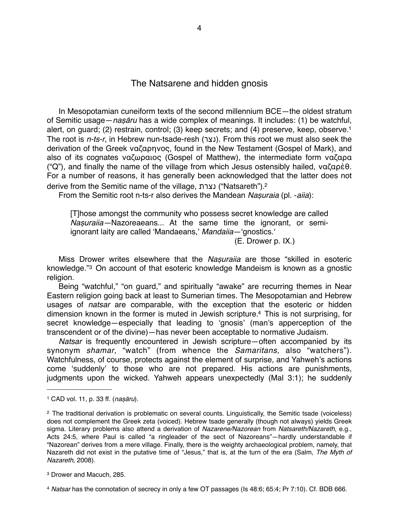## The Natsarene and hidden gnosis

In Mesopotamian cuneiform texts of the second millennium BCE—the oldest stratum of Semitic usage—*na*ṣā*ru* has a wide complex of meanings. It includes: (1) be watchful, alert, on guard; (2) restrain, control; (3) keep secrets; and (4) preserve, keep, observe[.1](#page-3-0) The root is *n-ts-r*, in Hebrew nun-tsade-resh (נצר). From this root we must also seek the derivation of the Greek ναζαρηνoς, found in the New Testament (Gospel of Mark), and also of its cognates ναζωραιος (Gospel of Matthew), the intermediate form ναζαρα ("Q"), and finally the name of the village from which Jesus ostensibly hailed, ναζαρὲθ. For a number of reasons, it has generally been acknowledged that the latter does not derive from the Semitic name of the village, נצרת") Natsareth")[.2](#page-3-1)

From the Semitic root n-ts-r also derives the Mandean *Na*ṣ*uraia* (pl. -*aiia*):

[T]hose amongst the community who possess secret knowledge are called *Na*ṣ*uraiia—*Nazoreaeans... At the same time the ignorant, or semiignorant laity are called 'Mandaeans,' Mandaiia-'gnostics.'

 $(E. Drower p. IX.)$ 

Miss Drower writes elsewhere that the *Na*ṣ*uraiia* are those "skilled in esoteric knowledge."[3](#page-3-2) On account of that esoteric knowledge Mandeism is known as a gnostic religion.

Being "watchful," "on guard," and spiritually "awake" are recurring themes in Near Eastern religion going back at least to Sumerian times. The Mesopotamian and Hebrew usages of *natsar* are comparable, with the exception that the esoteric or hidden dimension known in the former is muted in Jewish scripture[.4](#page-3-3) This is not surprising, for secret knowledge—especially that leading to ʻgnosis' (man's apperception of the transcendent or of the divine)—has never been acceptable to normative Judaism.

*Natsar* is frequently encountered in Jewish scripture—often accompanied by its synonym *shamar*, "watch" (from whence the *Samaritans*, also "watchers"). Watchfulness, of course, protects against the element of surprise, and Yahweh's actions come ʻsuddenly' to those who are not prepared. His actions are punishments, judgments upon the wicked. Yahweh appears unexpectedly (Mal 3:1); he suddenly

<span id="page-3-0"></span><sup>1</sup> CAD vol. 11, p. 33 ff. (*na*ṣā*ru*).

<span id="page-3-1"></span><sup>2</sup> The traditional derivation is problematic on several counts. Linguistically, the Semitic tsade (voiceless) does not complement the Greek zeta (voiced). Hebrew tsade generally (though not always) yields Greek sigma. Literary problems also attend a derivation of *Nazarene/Nazorean* from *Natsareth/Nazareth*, e.g., Acts 24:5, where Paul is called "a ringleader of the sect of Nazoreans"—hardly understandable if "Nazorean" derives from a mere village. Finally, there is the weighty archaeological problem, namely, that Nazareth did not exist in the putative time of "Jesus," that is, at the turn of the era (Salm, *The Myth of Nazareth*, 2008).

<span id="page-3-2"></span><sup>3</sup> Drower and Macuch, 285.

<span id="page-3-3"></span><sup>4</sup> *Natsar* has the connotation of secrecy in only a few OT passages (Is 48:6; 65:4; Pr 7:10). Cf. BDB 666.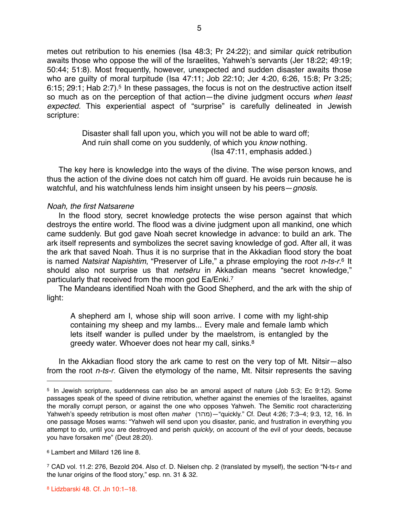metes out retribution to his enemies (Isa 48:3; Pr 24:22); and similar *quick* retribution awaits those who oppose the will of the Israelites, Yahweh's servants (Jer 18:22; 49:19; 50:44; 51:8). Most frequently, however, unexpected and sudden disaster awaits those who are guilty of moral turpitude (Isa 47:11; Job 22:10; Jer 4:20, 6:26, 15:8; Pr 3:25; 6:15; 29:1; Hab 2:7).<sup>5</sup> In these passages, the focus is not on the destructive action itself so much as on the perception of that action—the divine judgment occurs *when least expected.* This experiential aspect of "surprise" is carefully delineated in Jewish scripture:

> Disaster shall fall upon you, which you will not be able to ward off; And ruin shall come on you suddenly, of which you *know* nothing. (Isa 47:11, emphasis added.)

The key here is knowledge into the ways of the divine. The wise person knows, and thus the action of the divine does not catch him off guard. He avoids ruin because he is watchful, and his watchfulness lends him insight unseen by his peers—*gnosis*.

#### *Noah, the first Natsarene*

In the flood story, secret knowledge protects the wise person against that which destroys the entire world. The flood was a divine judgment upon all mankind, one which came suddenly. But god gave Noah secret knowledge in advance: to build an ark. The ark itself represents and symbolizes the secret saving knowledge of god. After all, it was the ark that saved Noah. Thus it is no surprise that in the Akkadian flood story the boat is named *Natsirat Napishtim*, "Preserver of Life," a phrase employing the root *n-ts-r*.[6](#page-4-1) It should also not surprise us that *nets*ē*ru* in Akkadian means "secret knowledge," particularly that received from the moon god Ea/Enki.<sup>7</sup>

The Mandeans identified Noah with the Good Shepherd, and the ark with the ship of light:

A shepherd am I, whose ship will soon arrive. I come with my light-ship containing my sheep and my lambs... Every male and female lamb which lets itself wander is pulled under by the maelstrom, is entangled by the greedy water. Whoever does not hear my call, sinks[.8](#page-4-3)

In the Akkadian flood story the ark came to rest on the very top of Mt. Nitsir—also from the root *n-ts-r*. Given the etymology of the name, Mt. Nitsir represents the saving

<span id="page-4-0"></span><sup>5</sup> In Jewish scripture, suddenness can also be an amoral aspect of nature (Job 5:3; Ec 9:12). Some passages speak of the speed of divine retribution, whether against the enemies of the Israelites, against the morally corrupt person, or against the one who opposes Yahweh. The Semitic root characterizing Yahweh's speedy retribution is most often *maher* (מהר"—(quickly." Cf. Deut 4:26; 7:3–4; 9:3, 12, 16. In one passage Moses warns: "Yahweh will send upon you disaster, panic, and frustration in everything you attempt to do, until you are destroyed and perish *quickly*, on account of the evil of your deeds, because you have forsaken me" (Deut 28:20).

<span id="page-4-1"></span><sup>6</sup> Lambert and Millard 126 line 8.

<span id="page-4-2"></span><sup>7</sup> CAD vol. 11.2: 276, Bezold 204. Also cf. D. Nielsen chp. 2 (translated by myself), the section "N-ts-r and the lunar origins of the flood story," esp. nn. 31 & 32.

<span id="page-4-3"></span><sup>8</sup> Lidzbarski 48. Cf. Jn 10:1–18.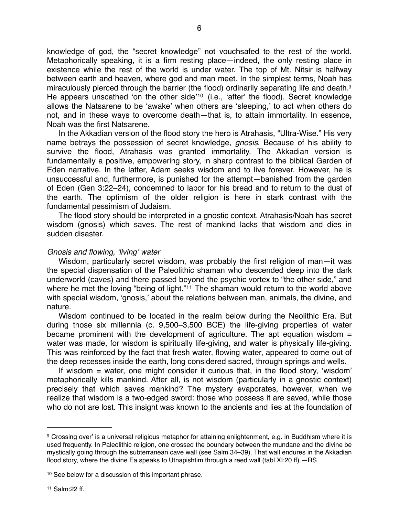knowledge of god, the "secret knowledge" not vouchsafed to the rest of the world. Metaphorically speaking, it is a firm resting place—indeed, the only resting place in existence while the rest of the world is under water. The top of Mt. Nitsir is halfway between earth and heaven, where god and man meet. In the simplest terms, Noah has miraculously pierced through the barrier (the flood) ordinarily separating life and death.<sup>9</sup> He appears unscathed ʻon the other side'[10](#page-5-1) (i.e., ʻafter' the flood). Secret knowledge allows the Natsarene to be ʻawake' when others are ʻsleeping,' to act when others do not, and in these ways to overcome death—that is, to attain immortality. In essence, Noah was the first Natsarene.

In the Akkadian version of the flood story the hero is Atrahasis, "Ultra-Wise." His very name betrays the possession of secret knowledge, *gnosis*. Because of his ability to survive the flood, Atrahasis was granted immortality. The Akkadian version is fundamentally a positive, empowering story, in sharp contrast to the biblical Garden of Eden narrative. In the latter, Adam seeks wisdom and to live forever. However, he is unsuccessful and, furthermore, is punished for the attempt—banished from the garden of Eden (Gen 3:22–24), condemned to labor for his bread and to return to the dust of the earth. The optimism of the older religion is here in stark contrast with the fundamental pessimism of Judaism.

The flood story should be interpreted in a gnostic context. Atrahasis/Noah has secret wisdom (gnosis) which saves. The rest of mankind lacks that wisdom and dies in sudden disaster.

#### *Gnosis and flowing,* ʻ*living*' *water*

Wisdom, particularly secret wisdom, was probably the first religion of man—it was the special dispensation of the Paleolithic shaman who descended deep into the dark underworld (caves) and there passed beyond the psychic vortex to "the other side," and where he met the loving "being of light."<sup>[11](#page-5-2)</sup> The shaman would return to the world above with special wisdom, ʻgnosis,' about the relations between man, animals, the divine, and nature.

Wisdom continued to be located in the realm below during the Neolithic Era. But during those six millennia (c. 9,500–3,500 BCE) the life-giving properties of water became prominent with the development of agriculture. The apt equation wisdom  $=$ water was made, for wisdom is spiritually life-giving, and water is physically life-giving. This was reinforced by the fact that fresh water, flowing water, appeared to come out of the deep recesses inside the earth, long considered sacred, through springs and wells.

If wisdom = water, one might consider it curious that, in the flood story, ʻwisdom' metaphorically kills mankind. After all, is not wisdom (particularly in a gnostic context) precisely that which saves mankind? The mystery evaporates, however, when we realize that wisdom is a two-edged sword: those who possess it are saved, while those who do not are lost. This insight was known to the ancients and lies at the foundation of

<span id="page-5-0"></span><sup>9</sup> Crossing over' is a universal religious metaphor for attaining enlightenment, e.g. in Buddhism where it is used frequently. In Paleolithic religion, one crossed the boundary between the mundane and the divine be mystically going through the subterranean cave wall (see Salm 34–39). That wall endures in the Akkadian flood story, where the divine Ea speaks to Utnapishtim through a reed wall (tabl.XI:20 ff). - RS

<span id="page-5-2"></span><span id="page-5-1"></span><sup>10</sup> See below for a discussion of this important phrase.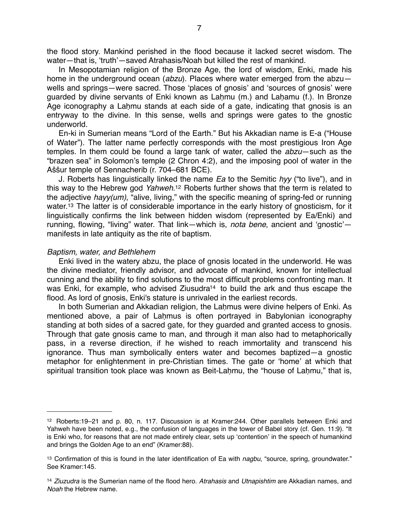the flood story. Mankind perished in the flood because it lacked secret wisdom. The water—that is, ʻtruth'—saved Atrahasis/Noah but killed the rest of mankind.

In Mesopotamian religion of the Bronze Age, the lord of wisdom, Enki, made his home in the underground ocean (*abzu*). Places where water emerged from the abzu wells and springs—were sacred. Those ʻplaces of gnosis' and ʻsources of gnosis' were guarded by divine servants of Enki known as Laḥmu (m.) and Laḥamu (f.). In Bronze Age iconography a Laḥmu stands at each side of a gate, indicating that gnosis is an entryway to the divine. In this sense, wells and springs were gates to the gnostic underworld.

En-ki in Sumerian means "Lord of the Earth." But his Akkadian name is E-a ("House of Water"). The latter name perfectly corresponds with the most prestigious Iron Age temples. In them could be found a large tank of water, called the *abzu*—such as the "brazen sea" in Solomon's temple (2 Chron 4:2), and the imposing pool of water in the Aŝŝur temple of Sennacherib (r. 704–681 BCE).

J. Roberts has linguistically linked the name *Ea* to the Semitic *hyy* ("to live"), and in this way to the Hebrew god *Yahweh*[.12](#page-6-0) Roberts further shows that the term is related to the adjective *hayy(um)*, "alive, living," with the specific meaning of spring-fed or running water.<sup>13</sup> The latter is of considerable importance in the early history of gnosticism, for it linguistically confirms the link between hidden wisdom (represented by Ea/Enki) and running, flowing, "living" water. That link—which is, *nota bene*, ancient and ʻgnostic' manifests in late antiquity as the rite of baptism.

#### *Baptism, water, and Bethlehem*

Enki lived in the watery abzu, the place of gnosis located in the underworld. He was the divine mediator, friendly advisor, and advocate of mankind, known for intellectual cunning and the ability to find solutions to the most difficult problems confronting man. It was Enki, for example, who advised Ziusudra<sup>14</sup> to build the ark and thus escape the flood. As lord of gnosis, Enki's stature is unrivaled in the earliest records.

In both Sumerian and Akkadian religion, the Lahmus were divine helpers of Enki. As mentioned above, a pair of Laḥmus is often portrayed in Babylonian iconography standing at both sides of a sacred gate, for they guarded and granted access to gnosis. Through that gate gnosis came to man, and through it man also had to metaphorically pass, in a reverse direction, if he wished to reach immortality and transcend his ignorance. Thus man symbolically enters water and becomes baptized—a gnostic metaphor for enlightenment in pre-Christian times. The gate or ʻhome' at which that spiritual transition took place was known as Beit-Laḥmu, the "house of Laḥmu," that is,

<span id="page-6-0"></span><sup>12</sup> Roberts:19–21 and p. 80, n. 117. Discussion is at Kramer:244. Other parallels between Enki and Yahweh have been noted, e.g., the confusion of languages in the tower of Babel story (cf. Gen. 11:9). "It is Enki who, for reasons that are not made entirely clear, sets up ʻcontention' in the speech of humankind and brings the Golden Age to an end" (Kramer:88).

<span id="page-6-1"></span><sup>13</sup> Confirmation of this is found in the later identification of Ea with *nagbu*, "source, spring, groundwater." See Kramer:145.

<span id="page-6-2"></span><sup>14</sup> *Ziuzudra* is the Sumerian name of the flood hero. *Atrahasis* and *Utnapishtim* are Akkadian names, and *Noah* the Hebrew name.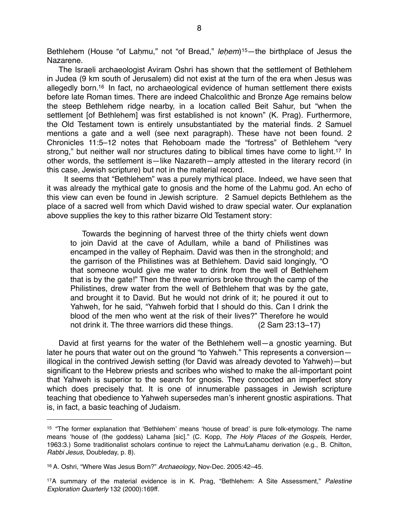Bethlehem (House "of Laḥmu," not "of Bread," *le*ḥ*em*)[15—](#page-7-0)the birthplace of Jesus the Nazarene.

The Israeli archaeologist Aviram Oshri has shown that the settlement of Bethlehem in Judea (9 km south of Jerusalem) did not exist at the turn of the era when Jesus was allegedly born[.16](#page-7-1) In fact, no archaeological evidence of human settlement there exists before late Roman times. There are indeed Chalcolithic and Bronze Age remains below the steep Bethlehem ridge nearby, in a location called Beit Sahur, but "when the settlement [of Bethlehem] was first established is not known" (K. Prag). Furthermore, the Old Testament town is entirely unsubstantiated by the material finds. 2 Samuel mentions a gate and a well (see next paragraph). These have not been found. 2 Chronicles 11:5–12 notes that Rehoboam made the "fortress" of Bethlehem "very strong," but neither wall nor structures dating to biblical times have come to light.<sup>17</sup> In other words, the settlement is—like Nazareth—amply attested in the literary record (in this case, Jewish scripture) but not in the material record.

 It seems that "Bethlehem" was a purely mythical place. Indeed, we have seen that it was already the mythical gate to gnosis and the home of the Laḥmu god. An echo of this view can even be found in Jewish scripture. 2 Samuel depicts Bethlehem as the place of a sacred well from which David wished to draw special water. Our explanation above supplies the key to this rather bizarre Old Testament story:

Towards the beginning of harvest three of the thirty chiefs went down to join David at the cave of Adullam, while a band of Philistines was encamped in the valley of Rephaim. David was then in the stronghold; and the garrison of the Philistines was at Bethlehem. David said longingly, "O that someone would give me water to drink from the well of Bethlehem that is by the gate!" Then the three warriors broke through the camp of the Philistines, drew water from the well of Bethlehem that was by the gate, and brought it to David. But he would not drink of it; he poured it out to Yahweh, for he said, "Yahweh forbid that I should do this. Can I drink the blood of the men who went at the risk of their lives?" Therefore he would not drink it. The three warriors did these things. (2 Sam 23:13–17)

David at first yearns for the water of the Bethlehem well—a gnostic yearning. But later he pours that water out on the ground "to Yahweh." This represents a conversion illogical in the contrived Jewish setting (for David was already devoted to Yahweh)—but significant to the Hebrew priests and scribes who wished to make the all-important point that Yahweh is superior to the search for gnosis. They concocted an imperfect story which does precisely that. It is one of innumerable passages in Jewish scripture teaching that obedience to Yahweh supersedes man's inherent gnostic aspirations. That is, in fact, a basic teaching of Judaism.

<span id="page-7-0"></span><sup>15 &</sup>quot;The former explanation that ʻBethlehem' means ʻhouse of bread' is pure folk-etymology. The name means ʻhouse of (the goddess) Lahama [sic]." (C. Kopp, *The Holy Places of the Gospels*, Herder, 1963:3.) Some traditionalist scholars continue to reject the Lahmu/Lahamu derivation (e.g., B. Chilton, *Rabbi Jesus*, Doubleday, p. 8).

<span id="page-7-1"></span><sup>16</sup> A. Oshri, "Where Was Jesus Born?" *Archaeology*, Nov-Dec. 2005:42–45.

<span id="page-7-2"></span><sup>17</sup>A summary of the material evidence is in K. Prag, "Bethlehem: A Site Assessment," *Palestine Exploration Quarterly* 132 (2000):169ff.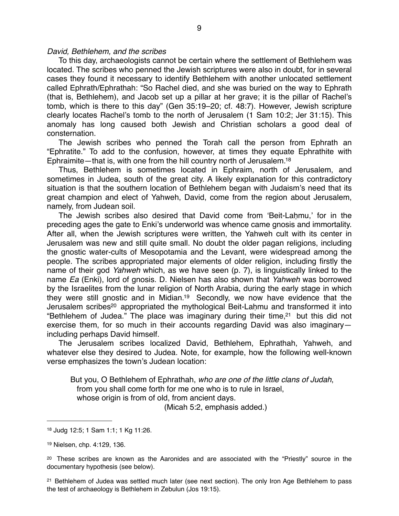#### *David, Bethlehem, and the scribes*

To this day, archaeologists cannot be certain where the settlement of Bethlehem was located. The scribes who penned the Jewish scriptures were also in doubt, for in several cases they found it necessary to identify Bethlehem with another unlocated settlement called Ephrath/Ephrathah: "So Rachel died, and she was buried on the way to Ephrath (that is, Bethlehem), and Jacob set up a pillar at her grave; it is the pillar of Rachel's tomb, which is there to this day" (Gen 35:19–20; cf. 48:7). However, Jewish scripture clearly locates Rachel's tomb to the north of Jerusalem (1 Sam 10:2; Jer 31:15). This anomaly has long caused both Jewish and Christian scholars a good deal of consternation.

The Jewish scribes who penned the Torah call the person from Ephrath an "Ephratite." To add to the confusion, however, at times they equate Ephrathite with Ephraimite—that is, with one from the hill country north of Jerusalem[.18](#page-8-0)

Thus, Bethlehem is sometimes located in Ephraim, north of Jerusalem, and sometimes in Judea, south of the great city. A likely explanation for this contradictory situation is that the southern location of Bethlehem began with Judaism's need that its great champion and elect of Yahweh, David, come from the region about Jerusalem, namely, from Judean soil.

The Jewish scribes also desired that David come from ʻBeit-Laḥmu,' for in the preceding ages the gate to Enki's underworld was whence came gnosis and immortality. After all, when the Jewish scriptures were written, the Yahweh cult with its center in Jerusalem was new and still quite small. No doubt the older pagan religions, including the gnostic water-cults of Mesopotamia and the Levant, were widespread among the people. The scribes appropriated major elements of older religion, including firstly the name of their god *Yahweh* which, as we have seen (p. 7), is linguistically linked to the name *Ea* (Enki), lord of gnosis. D. Nielsen has also shown that *Yahweh* was borrowed by the Israelites from the lunar religion of North Arabia, during the early stage in which they were still gnostic and in Midian[.19](#page-8-1) Secondly, we now have evidence that the Jerusalem scribes<sup>20</sup> appropriated the mythological Beit-Laḥmu and transformed it into "Bethlehem of Judea." The place was imaginary during their time[,21](#page-8-3) but this did not exercise them, for so much in their accounts regarding David was also imaginary including perhaps David himself.

The Jerusalem scribes localized David, Bethlehem, Ephrathah, Yahweh, and whatever else they desired to Judea. Note, for example, how the following well-known verse emphasizes the town's Judean location:

But you, O Bethlehem of Ephrathah, *who are one of the little clans of Judah*, from you shall come forth for me one who is to rule in Israel, whose origin is from of old, from ancient days.

(Micah 5:2, emphasis added.)

<span id="page-8-3"></span><sup>21</sup> Bethlehem of Judea was settled much later (see next section). The only Iron Age Bethlehem to pass the test of archaeology is Bethlehem in Zebulun (Jos 19:15).

<span id="page-8-0"></span><sup>18</sup> Judg 12:5; 1 Sam 1:1; 1 Kg 11:26.

<span id="page-8-1"></span><sup>19</sup> Nielsen, chp. 4:129, 136.

<span id="page-8-2"></span> $20$  These scribes are known as the Aaronides and are associated with the "Priestly" source in the documentary hypothesis (see below).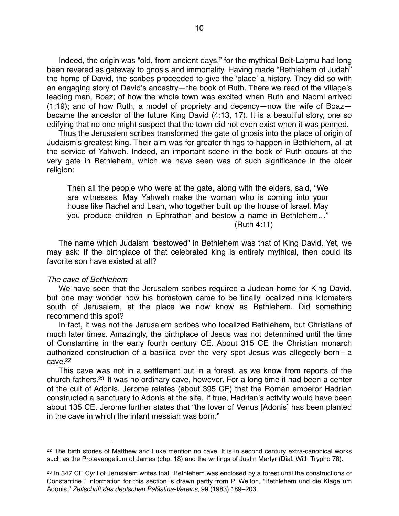Indeed, the origin was "old, from ancient days," for the mythical Beit-Laḥmu had long been revered as gateway to gnosis and immortality. Having made "Bethlehem of Judah" the home of David, the scribes proceeded to give the ʻplace' a history. They did so with an engaging story of David's ancestry—the book of Ruth. There we read of the village's leading man, Boaz; of how the whole town was excited when Ruth and Naomi arrived (1:19); and of how Ruth, a model of propriety and decency—now the wife of Boaz became the ancestor of the future King David (4:13, 17). It is a beautiful story, one so edifying that no one might suspect that the town did not even exist when it was penned.

Thus the Jerusalem scribes transformed the gate of gnosis into the place of origin of Judaism's greatest king. Their aim was for greater things to happen in Bethlehem, all at the service of Yahweh. Indeed, an important scene in the book of Ruth occurs at the very gate in Bethlehem, which we have seen was of such significance in the older religion:

Then all the people who were at the gate, along with the elders, said, "We are witnesses. May Yahweh make the woman who is coming into your house like Rachel and Leah, who together built up the house of Israel. May you produce children in Ephrathah and bestow a name in Bethlehem…" (Ruth 4:11)

The name which Judaism "bestowed" in Bethlehem was that of King David. Yet, we may ask: If the birthplace of that celebrated king is entirely mythical, then could its favorite son have existed at all?

#### *The cave of Bethlehem*

We have seen that the Jerusalem scribes required a Judean home for King David, but one may wonder how his hometown came to be finally localized nine kilometers south of Jerusalem, at the place we now know as Bethlehem. Did something recommend this spot?

In fact, it was not the Jerusalem scribes who localized Bethlehem, but Christians of much later times. Amazingly, the birthplace of Jesus was not determined until the time of Constantine in the early fourth century CE. About 315 CE the Christian monarch authorized construction of a basilica over the very spot Jesus was allegedly born—a  $c$ ave $22$ 

This cave was not in a settlement but in a forest, as we know from reports of the church fathers[.23](#page-9-1) It was no ordinary cave, however. For a long time it had been a center of the cult of Adonis. Jerome relates (about 395 CE) that the Roman emperor Hadrian constructed a sanctuary to Adonis at the site. If true, Hadrian's activity would have been about 135 CE. Jerome further states that "the lover of Venus [Adonis] has been planted in the cave in which the infant messiah was born."

<span id="page-9-0"></span><sup>&</sup>lt;sup>22</sup> The birth stories of Matthew and Luke mention no cave. It is in second century extra-canonical works such as the Protevangelium of James (chp. 18) and the writings of Justin Martyr (Dial. With Trypho 78).

<span id="page-9-1"></span><sup>&</sup>lt;sup>23</sup> In 347 CE Cyril of Jerusalem writes that "Bethlehem was enclosed by a forest until the constructions of Constantine." Information for this section is drawn partly from P. Welton, "Bethlehem und die Klage um Adonis." *Zeitschrift des deutschen Palästina-Vereins*, 99 (1983):189–203.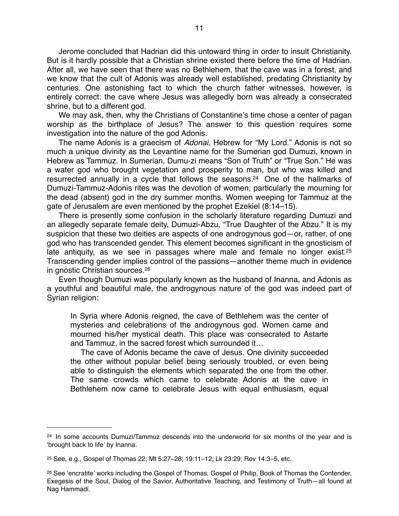Jerome concluded that Hadrian did this untoward thing in order to insult Christianity. But is it hardly possible that a Christian shrine existed there before the time of Hadrian. After all, we have seen that there was no Bethlehem, that the cave was in a forest, and we know that the cult of Adonis was already well established, predating Christianity by centuries. One astonishing fact to which the church father witnesses, however, is entirely correct: the cave where Jesus was allegedly born was already a consecrated shrine, but to a different god.

We may ask, then, why the Christians of Constantine's time chose a center of pagan worship as the birthplace of Jesus? The answer to this question requires some investigation into the nature of the god Adonis.

The name Adonis is a graecism of *Adonai*, Hebrew for "My Lord." Adonis is not so much a unique divinity as the Levantine name for the Sumerian god Dumuzi, known in Hebrew as Tammuz. In Sumerian, Dumu-zi means "Son of Truth" or "True Son." He was a water god who brought vegetation and prosperity to man, but who was killed and resurrected annually in a cycle that follows the seasons[.24](#page-10-0) One of the hallmarks of Dumuzi-Tammuz-Adonis rites was the devotion of women, particularly the mourning for the dead (absent) god in the dry summer months. Women weeping for Tammuz at the gate of Jerusalem are even mentioned by the prophet Ezekiel (8:14–15).

There is presently some confusion in the scholarly literature regarding Dumuzi and an allegedly separate female deity, Dumuzi-Abzu, "True Daughter of the Abzu." It is my suspicion that these two deities are aspects of one androgynous god—or, rather, of one god who has transcended gender. This element becomes significant in the gnosticism of late antiquity, as we see in passages where male and female no longer exist.<sup>25</sup> Transcending gender implies control of the passions—another theme much in evidence in gnostic Christian sources[.26](#page-10-2)

Even though Dumuzi was popularly known as the husband of Inanna, and Adonis as a youthful and beautiful male, the androgynous nature of the god was indeed part of Syrian religion:

In Syria where Adonis reigned, the cave of Bethlehem was the center of mysteries and celebrations of the androgynous god. Women came and mourned his/her mystical death. This place was consecrated to Astarte and Tammuz, in the sacred forest which surrounded it…

 The cave of Adonis became the cave of Jesus. One divinity succeeded the other without popular belief being seriously troubled, or even being able to distinguish the elements which separated the one from the other. The same crowds which came to celebrate Adonis at the cave in Bethlehem now came to celebrate Jesus with equal enthusiasm, equal

<span id="page-10-0"></span><sup>&</sup>lt;sup>24</sup> In some accounts Dumuzi/Tammuz descends into the underworld for six months of the year and is ʻbrought back to life' by Inanna.

<span id="page-10-1"></span><sup>25</sup> See, e.g., Gospel of Thomas 22; Mt 5:27–28; 19:11–12; Lk 23:29; Rev 14:3–5, etc.

<span id="page-10-2"></span><sup>26</sup> See ʻencratite' works including the Gospel of Thomas, Gospel of Philip, Book of Thomas the Contender, Exegesis of the Soul, Dialog of the Savior, Authoritative Teaching, and Testimony of Truth—all found at Nag Hammadi.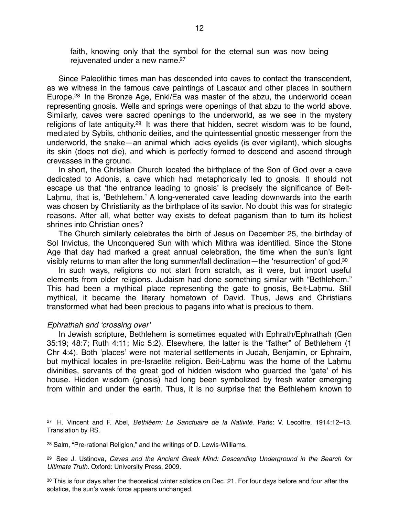faith, knowing only that the symbol for the eternal sun was now being rejuvenated under a new name.<sup>27</sup>

Since Paleolithic times man has descended into caves to contact the transcendent, as we witness in the famous cave paintings of Lascaux and other places in southern Europe[.28](#page-11-1) In the Bronze Age, Enki/Ea was master of the abzu, the underworld ocean representing gnosis. Wells and springs were openings of that abzu to the world above. Similarly, caves were sacred openings to the underworld, as we see in the mystery religions of late antiquity[.29](#page-11-2) It was there that hidden, secret wisdom was to be found, mediated by Sybils, chthonic deities, and the quintessential gnostic messenger from the underworld, the snake—an animal which lacks eyelids (is ever vigilant), which sloughs its skin (does not die), and which is perfectly formed to descend and ascend through crevasses in the ground.

In short, the Christian Church located the birthplace of the Son of God over a cave dedicated to Adonis, a cave which had metaphorically led to gnosis. It should not escape us that ʻthe entrance leading to gnosis' is precisely the significance of Beit-Lahmu, that is, 'Bethlehem.' A long-venerated cave leading downwards into the earth was chosen by Christianity as the birthplace of its savior. No doubt this was for strategic reasons. After all, what better way exists to defeat paganism than to turn its holiest shrines into Christian ones?

The Church similarly celebrates the birth of Jesus on December 25, the birthday of Sol Invictus, the Unconquered Sun with which Mithra was identified. Since the Stone Age that day had marked a great annual celebration, the time when the sun's light visibly returns to man after the long summer/fall declination—the ʻresurrection' of god[.30](#page-11-3)

In such ways, religions do not start from scratch, as it were, but import useful elements from older religions. Judaism had done something similar with "Bethlehem." This had been a mythical place representing the gate to gnosis, Beit-Laḥmu. Still mythical, it became the literary hometown of David. Thus, Jews and Christians transformed what had been precious to pagans into what is precious to them.

#### *Ephrathah and* ʻ*crossing over*'

In Jewish scripture, Bethlehem is sometimes equated with Ephrath/Ephrathah (Gen 35:19; 48:7; Ruth 4:11; Mic 5:2). Elsewhere, the latter is the "father" of Bethlehem (1 Chr 4:4). Both ʻplaces' were not material settlements in Judah, Benjamin, or Ephraim, but mythical locales in pre-Israelite religion. Beit-Laḥmu was the home of the Laḥmu divinities, servants of the great god of hidden wisdom who guarded the ʻgate' of his house. Hidden wisdom (gnosis) had long been symbolized by fresh water emerging from within and under the earth. Thus, it is no surprise that the Bethlehem known to

<span id="page-11-0"></span><sup>27</sup> H. Vincent and F. Abel, *Bethléem: Le Sanctuaire de la Nativité*. Paris: V. Lecoffre, 1914:12–13. Translation by RS.

<span id="page-11-1"></span><sup>28</sup> Salm, "Pre-rational Religion," and the writings of D. Lewis-Williams.

<span id="page-11-2"></span><sup>29</sup> See J. Ustinova, *Caves and the Ancient Greek Mind: Descending Underground in the Search for Ultimate Truth*. Oxford: University Press, 2009.

<span id="page-11-3"></span><sup>&</sup>lt;sup>30</sup> This is four days after the theoretical winter solstice on Dec. 21. For four days before and four after the solstice, the sun's weak force appears unchanged.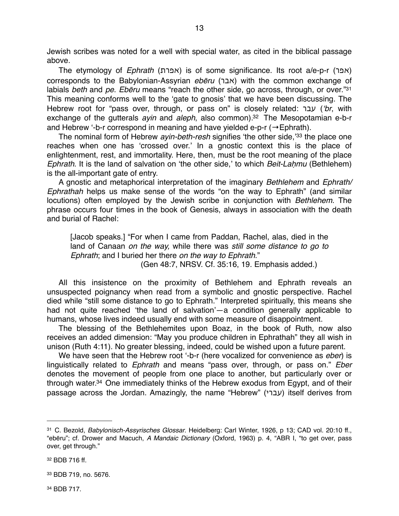Jewish scribes was noted for a well with special water, as cited in the biblical passage above.

The etymology of *Ephrath* (אפרת) is of some significance. Its root a/e-p-r (אפר) corresponds to the Babylonian-Assyrian *eb*ē*ru* (אבר (with the common exchange of labials *beth* and *pe*. *Eb*ē*ru* means "reach the other side, go across, through, or over.["31](#page-12-0) This meaning conforms well to the ʻgate to gnosis' that we have been discussing. The Hebrew root for "pass over, through, or pass on" is closely related: עבר) ʻ*br*, with exchange of the gutterals *ayin* and *aleph*, also common)[.32](#page-12-1) The Mesopotamian e-b-r and Hebrew '-b-r correspond in meaning and have yielded e-p-r ( $\rightarrow$  Ephrath).

The nominal form of Hebrew *ayin-beth-resh* signifies ʻthe other side,' [33](#page-12-2) the place one reaches when one has ʻcrossed over.' In a gnostic context this is the place of enlightenment, rest, and immortality. Here, then, must be the root meaning of the place *Ephrath*. It is the land of salvation on ʻthe other side,' to which *Beit-La*ḥ*mu* (Bethlehem) is the all-important gate of entry.

A gnostic and metaphorical interpretation of the imaginary *Bethlehem* and *Ephrath/ Ephrathah* helps us make sense of the words "on the way to Ephrath" (and similar locutions) often employed by the Jewish scribe in conjunction with *Bethlehem*. The phrase occurs four times in the book of Genesis, always in association with the death and burial of Rachel:

[Jacob speaks.] "For when I came from Paddan, Rachel, alas, died in the land of Canaan *on the way,* while there was *still some distance to go to Ephrath*; and I buried her there *on the way to Ephrath*."

(Gen 48:7, NRSV. Cf. 35:16, 19. Emphasis added.)

All this insistence on the proximity of Bethlehem and Ephrath reveals an unsuspected poignancy when read from a symbolic and gnostic perspective. Rachel died while "still some distance to go to Ephrath." Interpreted spiritually, this means she had not quite reached ʻthe land of salvation'—a condition generally applicable to humans, whose lives indeed usually end with some measure of disappointment.

The blessing of the Bethlehemites upon Boaz, in the book of Ruth, now also receives an added dimension: "May you produce children in Ephrathah" they all wish in unison (Ruth 4:11). No greater blessing, indeed, could be wished upon a future parent.

We have seen that the Hebrew root ʻ-b-r (here vocalized for convenience as *eber*) is linguistically related to *Ephrath* and means "pass over, through, or pass on." *Eber* denotes the movement of people from one place to another, but particularly over or through water[.34](#page-12-3) One immediately thinks of the Hebrew exodus from Egypt, and of their passage across the Jordan. Amazingly, the name "Hebrew" (עברי) itself derives from

<span id="page-12-0"></span><sup>31</sup> C. Bezold, *Babylonisch-Assyrisches Glossar*. Heidelberg: Carl Winter, 1926, p 13; CAD vol. 20:10 ff., "ebēru"; cf. Drower and Macuch, *A Mandaic Dictionary* (Oxford, 1963) p. 4, "ABR I, "to get over, pass over, get through."

<span id="page-12-1"></span><sup>32</sup> BDB 716 ff.

<span id="page-12-2"></span><sup>33</sup> BDB 719, no. 5676.

<span id="page-12-3"></span><sup>34</sup> BDB 717.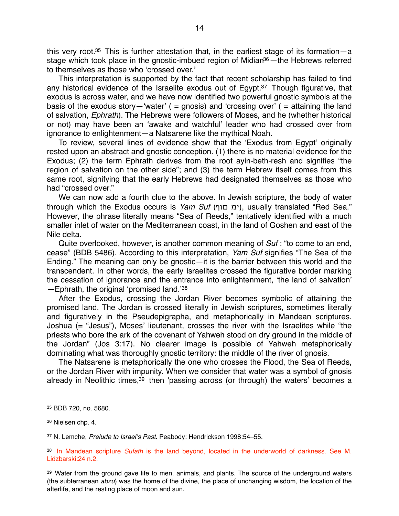this very root.<sup>35</sup> This is further attestation that, in the earliest stage of its formation—a stage which took place in the gnostic-imbued region of Midian<sup>36</sup> - the Hebrews referred to themselves as those who ʻcrossed over.'

This interpretation is supported by the fact that recent scholarship has failed to find any historical evidence of the Israelite exodus out of Egypt.<sup>37</sup> Though figurative, that exodus is across water, and we have now identified two powerful gnostic symbols at the basis of the exodus story—'water' ( = gnosis) and 'crossing over' ( = attaining the land of salvation, *Ephrath*). The Hebrews were followers of Moses, and he (whether historical or not) may have been an ʻawake and watchful' leader who had crossed over from ignorance to enlightenment—a Natsarene like the mythical Noah.

To review, several lines of evidence show that the ʻExodus from Egypt' originally rested upon an abstract and gnostic conception. (1) there is no material evidence for the Exodus; (2) the term Ephrath derives from the root ayin-beth-resh and signifies "the region of salvation on the other side"; and (3) the term Hebrew itself comes from this same root, signifying that the early Hebrews had designated themselves as those who had "crossed over."

We can now add a fourth clue to the above. In Jewish scripture, the body of water through which the Exodus occurs is *Yam Suf* (ימ םוף), usually translated "Red Sea." However, the phrase literally means "Sea of Reeds," tentatively identified with a much smaller inlet of water on the Mediterranean coast, in the land of Goshen and east of the Nile delta.

Quite overlooked, however, is another common meaning of *Suf* : "to come to an end, cease" (BDB 5486). According to this interpretation, *Yam Suf* signifies "The Sea of the Ending." The meaning can only be gnostic—it is the barrier between this world and the transcendent. In other words, the early Israelites crossed the figurative border marking the cessation of ignorance and the entrance into enlightenment, ʻthe land of salvation' —Ephrath, the original ʻpromised land.' [38](#page-13-3)

After the Exodus, crossing the Jordan River becomes symbolic of attaining the promised land. The Jordan is crossed literally in Jewish scriptures, sometimes literally and figuratively in the Pseudepigrapha, and metaphorically in Mandean scriptures. Joshua (= "Jesus"), Moses' lieutenant, crosses the river with the Israelites while "the priests who bore the ark of the covenant of Yahweh stood on dry ground in the middle of the Jordan" (Jos 3:17). No clearer image is possible of Yahweh metaphorically dominating what was thoroughly gnostic territory: the middle of the river of gnosis.

The Natsarene is metaphorically the one who crosses the Flood, the Sea of Reeds, or the Jordan River with impunity. When we consider that water was a symbol of gnosis already in Neolithic times,<sup>39</sup> then 'passing across (or through) the waters' becomes a

<span id="page-13-2"></span>37 N. Lemche, *Prelude to Israel*'*s Past*. Peabody: Hendrickson 1998:54–55.

<span id="page-13-0"></span><sup>35</sup> BDB 720, no. 5680.

<span id="page-13-1"></span><sup>36</sup> Nielsen chp. 4.

<span id="page-13-3"></span><sup>38</sup> In Mandean scripture *Sufath* is the land beyond, located in the underworld of darkness. See M. Lidzbarski:24 n.2.

<span id="page-13-4"></span><sup>&</sup>lt;sup>39</sup> Water from the ground gave life to men, animals, and plants. The source of the underground waters (the subterranean *abzu*) was the home of the divine, the place of unchanging wisdom, the location of the afterlife, and the resting place of moon and sun.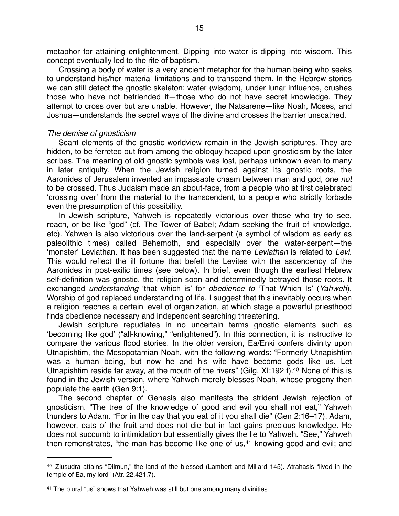metaphor for attaining enlightenment. Dipping into water is dipping into wisdom. This concept eventually led to the rite of baptism.

Crossing a body of water is a very ancient metaphor for the human being who seeks to understand his/her material limitations and to transcend them. In the Hebrew stories we can still detect the gnostic skeleton: water (wisdom), under lunar influence, crushes those who have not befriended it—those who do not have secret knowledge. They attempt to cross over but are unable. However, the Natsarene—like Noah, Moses, and Joshua—understands the secret ways of the divine and crosses the barrier unscathed.

#### *The demise of gnosticism*

Scant elements of the gnostic worldview remain in the Jewish scriptures. They are hidden, to be ferreted out from among the obloquy heaped upon gnosticism by the later scribes. The meaning of old gnostic symbols was lost, perhaps unknown even to many in later antiquity. When the Jewish religion turned against its gnostic roots, the Aaronides of Jerusalem invented an impassable chasm between man and god, one *not* to be crossed. Thus Judaism made an about-face, from a people who at first celebrated ʻcrossing over' from the material to the transcendent, to a people who strictly forbade even the presumption of this possibility.

In Jewish scripture, Yahweh is repeatedly victorious over those who try to see, reach, or be like "god" (cf. The Tower of Babel; Adam seeking the fruit of knowledge, etc). Yahweh is also victorious over the land-serpent (a symbol of wisdom as early as paleolithic times) called Behemoth, and especially over the water-serpent—the ʻmonster' Leviathan. It has been suggested that the name *Leviathan* is related to *Levi*. This would reflect the ill fortune that befell the Levites with the ascendency of the Aaronides in post-exilic times (see below). In brief, even though the earliest Hebrew self-definition was gnostic, the religion soon and determinedly betrayed those roots. It exchanged *understanding* ʻthat which is' for *obedience to* ʻThat Which Is' (*Yahweh*). Worship of god replaced understanding of life. I suggest that this inevitably occurs when a religion reaches a certain level of organization, at which stage a powerful priesthood finds obedience necessary and independent searching threatening.

Jewish scripture repudiates in no uncertain terms gnostic elements such as ʻbecoming like god' ("all-knowing," "enlightened"). In this connection, it is instructive to compare the various flood stories. In the older version, Ea/Enki confers divinity upon Utnapishtim, the Mesopotamian Noah, with the following words: "Formerly Utnapishtim was a human being, but now he and his wife have become gods like us. Let Utnapishtim reside far away, at the mouth of the rivers" (Gilg. XI:192 f).<sup>40</sup> None of this is found in the Jewish version, where Yahweh merely blesses Noah, whose progeny then populate the earth (Gen 9:1).

The second chapter of Genesis also manifests the strident Jewish rejection of gnosticism. "The tree of the knowledge of good and evil you shall not eat," Yahweh thunders to Adam. "For in the day that you eat of it you shall die" (Gen 2:16–17). Adam, however, eats of the fruit and does not die but in fact gains precious knowledge. He does not succumb to intimidation but essentially gives the lie to Yahweh. "See," Yahweh then remonstrates, "the man has become like one of  $us$ , $41$  knowing good and evil; and

<span id="page-14-0"></span><sup>40</sup> Ziusudra attains "Dilmun," the land of the blessed (Lambert and Millard 145). Atrahasis "lived in the temple of Ea, my lord" (Atr. 22.421,7).

<span id="page-14-1"></span><sup>41</sup> The plural "us" shows that Yahweh was still but one among many divinities.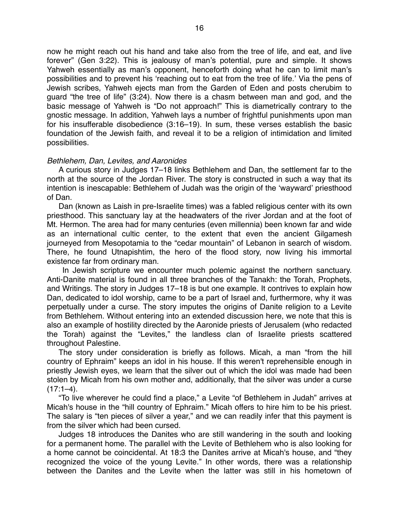now he might reach out his hand and take also from the tree of life, and eat, and live forever" (Gen 3:22). This is jealousy of man's potential, pure and simple. It shows Yahweh essentially as man's opponent, henceforth doing what he can to limit man's possibilities and to prevent his ʻreaching out to eat from the tree of life.' Via the pens of Jewish scribes, Yahweh ejects man from the Garden of Eden and posts cherubim to guard "the tree of life" (3:24). Now there is a chasm between man and god, and the basic message of Yahweh is "Do not approach!" This is diametrically contrary to the gnostic message. In addition, Yahweh lays a number of frightful punishments upon man for his insufferable disobedience (3:16–19). In sum, these verses establish the basic foundation of the Jewish faith, and reveal it to be a religion of intimidation and limited possibilities.

#### *Bethlehem, Dan, Levites, and Aaronides*

A curious story in Judges 17–18 links Bethlehem and Dan, the settlement far to the north at the source of the Jordan River. The story is constructed in such a way that its intention is inescapable: Bethlehem of Judah was the origin of the ʻwayward' priesthood of Dan.

Dan (known as Laish in pre-Israelite times) was a fabled religious center with its own priesthood. This sanctuary lay at the headwaters of the river Jordan and at the foot of Mt. Hermon. The area had for many centuries (even millennia) been known far and wide as an international cultic center, to the extent that even the ancient Gilgamesh journeyed from Mesopotamia to the "cedar mountain" of Lebanon in search of wisdom. There, he found Utnapishtim, the hero of the flood story, now living his immortal existence far from ordinary man.

 In Jewish scripture we encounter much polemic against the northern sanctuary. Anti-Danite material is found in all three branches of the Tanakh: the Torah, Prophets, and Writings. The story in Judges 17–18 is but one example. It contrives to explain how Dan, dedicated to idol worship, came to be a part of Israel and, furthermore, why it was perpetually under a curse. The story imputes the origins of Danite religion to a Levite from Bethlehem. Without entering into an extended discussion here, we note that this is also an example of hostility directed by the Aaronide priests of Jerusalem (who redacted the Torah) against the "Levites," the landless clan of Israelite priests scattered throughout Palestine.

The story under consideration is briefly as follows. Micah, a man "from the hill country of Ephraim" keeps an idol in his house. If this weren't reprehensible enough in priestly Jewish eyes, we learn that the silver out of which the idol was made had been stolen by Micah from his own mother and, additionally, that the silver was under a curse  $(17:1-4)$ .

"To live wherever he could find a place," a Levite "of Bethlehem in Judah" arrives at Micah's house in the "hill country of Ephraim." Micah offers to hire him to be his priest. The salary is "ten pieces of silver a year," and we can readily infer that this payment is from the silver which had been cursed.

Judges 18 introduces the Danites who are still wandering in the south and looking for a permanent home. The parallel with the Levite of Bethlehem who is also looking for a home cannot be coincidental. At 18:3 the Danites arrive at Micah's house, and "they recognized the voice of the young Levite." In other words, there was a relationship between the Danites and the Levite when the latter was still in his hometown of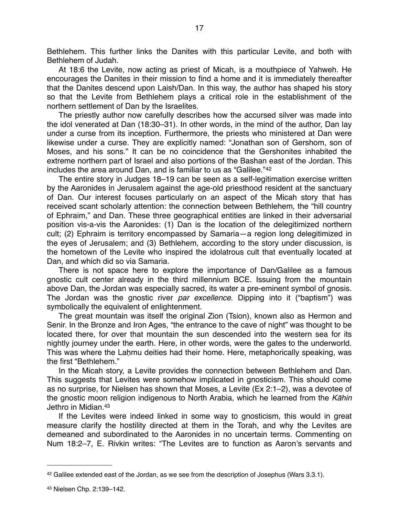Bethlehem. This further links the Danites with this particular Levite, and both with Bethlehem of Judah.

At 18:6 the Levite, now acting as priest of Micah, is a mouthpiece of Yahweh. He encourages the Danites in their mission to find a home and it is immediately thereafter that the Danites descend upon Laish/Dan. In this way, the author has shaped his story so that the Levite from Bethlehem plays a critical role in the establishment of the northern settlement of Dan by the Israelites.

The priestly author now carefully describes how the accursed silver was made into the idol venerated at Dan (18:30–31). In other words, in the mind of the author, Dan lay under a curse from its inception. Furthermore, the priests who ministered at Dan were likewise under a curse. They are explicitly named: "Jonathan son of Gershom, son of Moses, and his sons." It can be no coincidence that the Gershonites inhabited the extreme northern part of Israel and also portions of the Bashan east of the Jordan. This includes the area around Dan, and is familiar to us as "Galilee."[42](#page-16-0)

The entire story in Judges 18–19 can be seen as a self-legitimation exercise written by the Aaronides in Jerusalem against the age-old priesthood resident at the sanctuary of Dan. Our interest focuses particularly on an aspect of the Micah story that has received scant scholarly attention: the connection between Bethlehem, the "hill country of Ephraim," and Dan. These three geographical entities are linked in their adversarial position vis-a-vis the Aaronides: (1) Dan is the location of the delegitimized northern cult; (2) Ephraim is territory encompassed by Samaria—a region long delegitimized in the eyes of Jerusalem; and (3) Bethlehem, according to the story under discussion, is the hometown of the Levite who inspired the idolatrous cult that eventually located at Dan, and which did so via Samaria.

There is not space here to explore the importance of Dan/Galilee as a famous gnostic cult center already in the third millennium BCE. Issuing from the mountain above Dan, the Jordan was especially sacred, its water a pre-eminent symbol of gnosis. The Jordan was the gnostic river *par excellence*. Dipping into it ("baptism") was symbolically the equivalent of enlightenment.

The great mountain was itself the original Zion (Tsion), known also as Hermon and Senir. In the Bronze and Iron Ages, "the entrance to the cave of night" was thought to be located there, for over that mountain the sun descended into the western sea for its nightly journey under the earth. Here, in other words, were the gates to the underworld. This was where the Laḥmu deities had their home. Here, metaphorically speaking, was the first "Bethlehem."

In the Micah story, a Levite provides the connection between Bethlehem and Dan. This suggests that Levites were somehow implicated in gnosticism. This should come as no surprise, for Nielsen has shown that Moses, a Levite (Ex 2:1–2), was a devotee of the gnostic moon religion indigenous to North Arabia, which he learned from the *K*ā*hin* Jethro in Midian[.43](#page-16-1)

If the Levites were indeed linked in some way to gnosticism, this would in great measure clarify the hostility directed at them in the Torah, and why the Levites are demeaned and subordinated to the Aaronides in no uncertain terms. Commenting on Num 18:2–7, E. Rivkin writes: "The Levites are to function as Aaron's servants and

<span id="page-16-1"></span><span id="page-16-0"></span> $42$  Galilee extended east of the Jordan, as we see from the description of Josephus (Wars  $3.3.1$ ).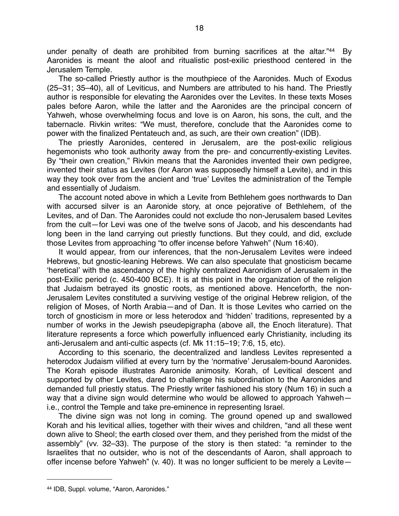under penalty of death are prohibited from burning sacrifices at the altar.["44](#page-17-0) By Aaronides is meant the aloof and ritualistic post-exilic priesthood centered in the Jerusalem Temple.

The so-called Priestly author is the mouthpiece of the Aaronides. Much of Exodus (25–31; 35–40), all of Leviticus, and Numbers are attributed to his hand. The Priestly author is responsible for elevating the Aaronides over the Levites. In these texts Moses pales before Aaron, while the latter and the Aaronides are the principal concern of Yahweh, whose overwhelming focus and love is on Aaron, his sons, the cult, and the tabernacle. Rivkin writes: "We must, therefore, conclude that the Aaronides come to power with the finalized Pentateuch and, as such, are their own creation" (IDB).

The priestly Aaronides, centered in Jerusalem, are the post-exilic religious hegemonists who took authority away from the pre- and concurrently-existing Levites. By "their own creation," Rivkin means that the Aaronides invented their own pedigree, invented their status as Levites (for Aaron was supposedly himself a Levite), and in this way they took over from the ancient and ʻtrue' Levites the administration of the Temple and essentially of Judaism.

The account noted above in which a Levite from Bethlehem goes northwards to Dan with accursed silver is an Aaronide story, at once pejorative of Bethlehem, of the Levites, and of Dan. The Aaronides could not exclude tho non-Jerusalem based Levites from the cult—for Levi was one of the twelve sons of Jacob, and his descendants had long been in the land carrying out priestly functions. But they could, and did, exclude those Levites from approaching "to offer incense before Yahweh" (Num 16:40).

It would appear, from our inferences, that the non-Jerusalem Levites were indeed Hebrews, but gnostic-leaning Hebrews. We can also speculate that gnosticism became ʻheretical' with the ascendancy of the highly centralized Aaronidism of Jerusalem in the post-Exilic period (c. 450-400 BCE). It is at this point in the organization of the religion that Judaism betrayed its gnostic roots, as mentioned above. Henceforth, the non-Jerusalem Levites constituted a surviving vestige of the original Hebrew religion, of the religion of Moses, of North Arabia—and of Dan. It is those Levites who carried on the torch of gnosticism in more or less heterodox and ʻhidden' traditions, represented by a number of works in the Jewish pseudepigrapha (above all, the Enoch literature). That literature represents a force which powerfully influenced early Christianity, including its anti-Jerusalem and anti-cultic aspects (cf. Mk 11:15–19; 7:6, 15, etc).

According to this scenario, the decentralized and landless Levites represented a heterodox Judaism vilified at every turn by the ʻnormative' Jerusalem-bound Aaronides. The Korah episode illustrates Aaronide animosity. Korah, of Levitical descent and supported by other Levites, dared to challenge his subordination to the Aaronides and demanded full priestly status. The Priestly writer fashioned his story (Num 16) in such a way that a divine sign would determine who would be allowed to approach Yahweh i.e., control the Temple and take pre-eminence in representing Israel.

The divine sign was not long in coming. The ground opened up and swallowed Korah and his levitical allies, together with their wives and children, "and all these went down alive to Sheol; the earth closed over them, and they perished from the midst of the assembly" (vv. 32–33). The purpose of the story is then stated: "a reminder to the Israelites that no outsider, who is not of the descendants of Aaron, shall approach to offer incense before Yahweh" (v. 40). It was no longer sufficient to be merely a Levite—

<span id="page-17-0"></span><sup>44</sup> IDB, Suppl. volume, "Aaron, Aaronides."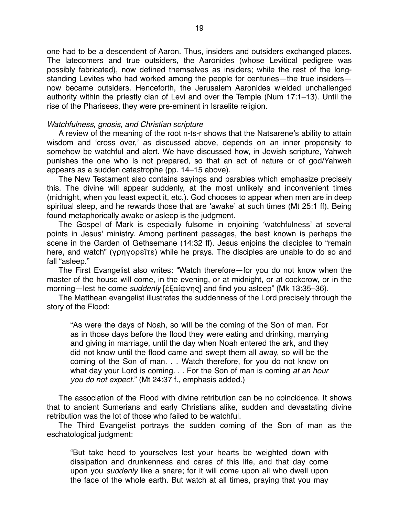one had to be a descendent of Aaron. Thus, insiders and outsiders exchanged places. The latecomers and true outsiders, the Aaronides (whose Levitical pedigree was possibly fabricated), now defined themselves as insiders; while the rest of the longstanding Levites who had worked among the people for centuries—the true insiders now became outsiders. Henceforth, the Jerusalem Aaronides wielded unchallenged authority within the priestly clan of Levi and over the Temple (Num 17:1–13). Until the rise of the Pharisees, they were pre-eminent in Israelite religion.

#### *Watchfulness, gnosis, and Christian scripture*

A review of the meaning of the root n-ts-r shows that the Natsarene's ability to attain wisdom and ʻcross over,' as discussed above, depends on an inner propensity to somehow be watchful and alert. We have discussed how, in Jewish scripture, Yahweh punishes the one who is not prepared, so that an act of nature or of god/Yahweh appears as a sudden catastrophe (pp. 14–15 above).

The New Testament also contains sayings and parables which emphasize precisely this. The divine will appear suddenly, at the most unlikely and inconvenient times (midnight, when you least expect it, etc.). God chooses to appear when men are in deep spiritual sleep, and he rewards those that are ʻawake' at such times (Mt 25:1 ff). Being found metaphorically awake or asleep is the judgment.

The Gospel of Mark is especially fulsome in enjoining ʻwatchfulness' at several points in Jesus' ministry. Among pertinent passages, the best known is perhaps the scene in the Garden of Gethsemane (14:32 ff). Jesus enjoins the disciples to "remain here, and watch" (γρηγορεῖτε) while he prays. The disciples are unable to do so and fall "asleep."

The First Evangelist also writes: "Watch therefore—for you do not know when the master of the house will come, in the evening, or at midnight, or at cockcrow, or in the morning—lest he come *suddenly* [ἐξαίφνης] and find you asleep" (Mk 13:35–36).

The Matthean evangelist illustrates the suddenness of the Lord precisely through the story of the Flood:

"As were the days of Noah, so will be the coming of the Son of man. For as in those days before the flood they were eating and drinking, marrying and giving in marriage, until the day when Noah entered the ark, and they did not know until the flood came and swept them all away, so will be the coming of the Son of man. . . Watch therefore, for you do not know on what day your Lord is coming. . . For the Son of man is coming *at an hour you do not expect.*" (Mt 24:37 f., emphasis added.)

The association of the Flood with divine retribution can be no coincidence. It shows that to ancient Sumerians and early Christians alike, sudden and devastating divine retribution was the lot of those who failed to be watchful.

The Third Evangelist portrays the sudden coming of the Son of man as the eschatological judgment:

"But take heed to yourselves lest your hearts be weighted down with dissipation and drunkenness and cares of this life, and that day come upon you *suddenly* like a snare; for it will come upon all who dwell upon the face of the whole earth. But watch at all times, praying that you may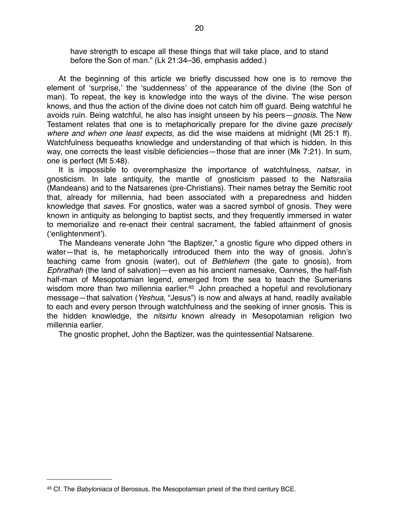have strength to escape all these things that will take place, and to stand before the Son of man." (Lk 21:34–36, emphasis added.)

At the beginning of this article we briefly discussed how one is to remove the element of ʻsurprise,' the ʻsuddenness' of the appearance of the divine (the Son of man). To repeat, the key is knowledge into the ways of the divine. The wise person knows, and thus the action of the divine does not catch him off guard. Being watchful he avoids ruin. Being watchful, he also has insight unseen by his peers—*gnosis*. The New Testament relates that one is to metaphorically prepare for the divine gaze *precisely where and when one least expects*, as did the wise maidens at midnight (Mt 25:1 ff). Watchfulness bequeaths knowledge and understanding of that which is hidden. In this way, one corrects the least visible deficiencies—those that are inner (Mk 7:21). In sum, one is perfect (Mt 5:48).

It is impossible to overemphasize the importance of watchfulness, *natsar*, in gnosticism. In late antiquity, the mantle of gnosticism passed to the Natsraiia (Mandeans) and to the Natsarenes (pre-Christians). Their names betray the Semitic root that, already for millennia, had been associated with a preparedness and hidden knowledge that *saves*. For gnostics, water was a sacred symbol of gnosis. They were known in antiquity as belonging to baptist sects, and they frequently immersed in water to memorialize and re-enact their central sacrament, the fabled attainment of gnosis (ʻenlightenment').

The Mandeans venerate John "the Baptizer," a gnostic figure who dipped others in water—that is, he metaphorically introduced them into the way of gnosis. John's teaching came from gnosis (water), out of *Bethlehem* (the gate to gnosis), from *Ephrathah* (the land of salvation)—even as his ancient namesake, Oannes, the half-fish half-man of Mesopotamian legend, emerged from the sea to teach the Sumerians wisdom more than two millennia earlier.<sup>45</sup> John preached a hopeful and revolutionary message—that salvation (*Yeshua*, "Jesus") is now and always at hand, readily available to each and every person through watchfulness and the seeking of inner gnosis. This is the hidden knowledge, the *nitsirtu* known already in Mesopotamian religion two millennia earlier.

The gnostic prophet, John the Baptizer, was the quintessential Natsarene.

<span id="page-19-0"></span><sup>45</sup> Cf. The *Babyloniaca* of Berossus, the Mesopotamian priest of the third century BCE.